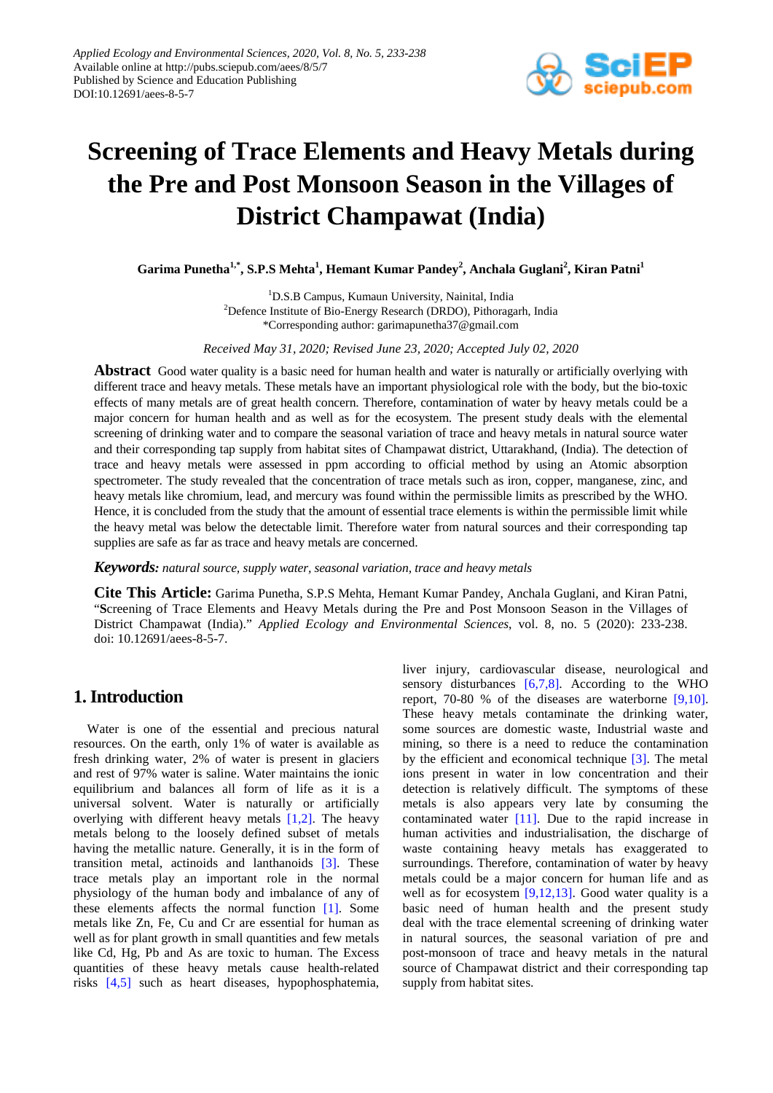

# **Screening of Trace Elements and Heavy Metals during the Pre and Post Monsoon Season in the Villages of District Champawat (India)**

**Garima Punetha1,\* , S.P.S Mehta<sup>1</sup> , Hemant Kumar Pandey<sup>2</sup> , Anchala Guglani2 , Kiran Patni1**

<sup>1</sup>D.S.B Campus, Kumaun University, Nainital, India <sup>2</sup>Defence Institute of Bio-Energy Research (DRDO), Pithoragarh, India \*Corresponding author: garimapunetha37@gmail.com

*Received May 31, 2020; Revised June 23, 2020; Accepted July 02, 2020*

**Abstract** Good water quality is a basic need for human health and water is naturally or artificially overlying with different trace and heavy metals. These metals have an important physiological role with the body, but the bio-toxic effects of many metals are of great health concern. Therefore, contamination of water by heavy metals could be a major concern for human health and as well as for the ecosystem. The present study deals with the elemental screening of drinking water and to compare the seasonal variation of trace and heavy metals in natural source water and their corresponding tap supply from habitat sites of Champawat district, Uttarakhand, (India). The detection of trace and heavy metals were assessed in ppm according to official method by using an Atomic absorption spectrometer. The study revealed that the concentration of trace metals such as iron, copper, manganese, zinc, and heavy metals like chromium, lead, and mercury was found within the permissible limits as prescribed by the WHO. Hence, it is concluded from the study that the amount of essential trace elements is within the permissible limit while the heavy metal was below the detectable limit. Therefore water from natural sources and their corresponding tap supplies are safe as far as trace and heavy metals are concerned.

*Keywords: natural source, supply water, seasonal variation, trace and heavy metals* 

**Cite This Article:** Garima Punetha, S.P.S Mehta, Hemant Kumar Pandey, Anchala Guglani, and Kiran Patni, "**S**creening of Trace Elements and Heavy Metals during the Pre and Post Monsoon Season in the Villages of District Champawat (India)." *Applied Ecology and Environmental Sciences*, vol. 8, no. 5 (2020): 233-238. doi: 10.12691/aees-8-5-7.

## **1. Introduction**

Water is one of the essential and precious natural resources. On the earth, only 1% of water is available as fresh drinking water, 2% of water is present in glaciers and rest of 97% water is saline. Water maintains the ionic equilibrium and balances all form of life as it is a universal solvent. Water is naturally or artificially overlying with different heavy metals [\[1,2\].](#page-5-0) The heavy metals belong to the loosely defined subset of metals having the metallic nature. Generally, it is in the form of transition metal, actinoids and lanthanoids [\[3\].](#page-5-1) These trace metals play an important role in the normal physiology of the human body and imbalance of any of these elements affects the normal function [\[1\].](#page-5-0) Some metals like Zn, Fe, Cu and Cr are essential for human as well as for plant growth in small quantities and few metals like Cd, Hg, Pb and As are toxic to human. The Excess quantities of these heavy metals cause health-related risks [\[4,5\]](#page-5-2) such as heart diseases, hypophosphatemia, liver injury, cardiovascular disease, neurological and sensory disturbances [\[6,7,8\].](#page-5-3) According to the WHO report, 70-80 % of the diseases are waterborne [\[9,10\].](#page-5-4) These heavy metals contaminate the drinking water, some sources are domestic waste, Industrial waste and mining, so there is a need to reduce the contamination by the efficient and economical technique [\[3\].](#page-5-1) The metal ions present in water in low concentration and their detection is relatively difficult. The symptoms of these metals is also appears very late by consuming the contaminated water [\[11\].](#page-5-5) Due to the rapid increase in human activities and industrialisation, the discharge of waste containing heavy metals has exaggerated to surroundings. Therefore, contamination of water by heavy metals could be a major concern for human life and as well as for ecosystem [\[9,12,13\].](#page-5-4) Good water quality is a basic need of human health and the present study deal with the trace elemental screening of drinking water in natural sources, the seasonal variation of pre and post-monsoon of trace and heavy metals in the natural source of Champawat district and their corresponding tap supply from habitat sites.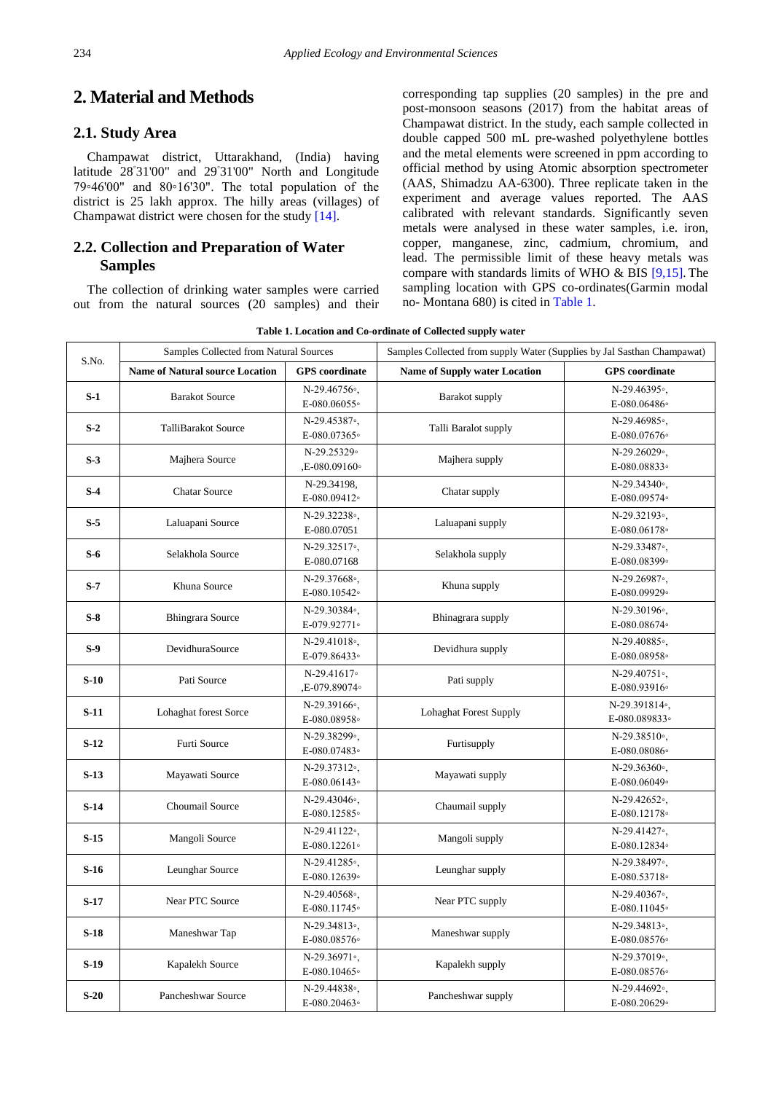## **2. Material and Methods**

#### **2.1. Study Area**

Champawat district, Uttarakhand, (India) having latitude 28◦ 31'00" and 29◦ 31'00" North and Longitude 79◦46'00" and 80◦16'30". The total population of the district is 25 lakh approx. The hilly areas (villages) of Champawat district were chosen for the study [\[14\].](#page-5-6)

## **2.2. Collection and Preparation of Water Samples**

The collection of drinking water samples were carried out from the natural sources (20 samples) and their corresponding tap supplies (20 samples) in the pre and post-monsoon seasons (2017) from the habitat areas of Champawat district. In the study, each sample collected in double capped 500 mL pre-washed polyethylene bottles and the metal elements were screened in ppm according to official method by using Atomic absorption spectrometer (AAS, Shimadzu AA-6300). Three replicate taken in the experiment and average values reported. The AAS calibrated with relevant standards. Significantly seven metals were analysed in these water samples, i.e. iron, copper, manganese, zinc, cadmium, chromium, and lead. The permissible limit of these heavy metals was compare with standards limits of WHO & BIS [\[9,15\].](#page-5-4) The sampling location with GPS co-ordinates(Garmin modal no- Montana 680) is cited in [Table 1.](#page-1-0)

**Table 1. Location and Co-ordinate of Collected supply water**

<span id="page-1-0"></span>

| S.No.  | Samples Collected from Natural Sources |                                           | Samples Collected from supply Water (Supplies by Jal Sasthan Champawat) |                                           |  |  |  |  |
|--------|----------------------------------------|-------------------------------------------|-------------------------------------------------------------------------|-------------------------------------------|--|--|--|--|
|        | <b>Name of Natural source Location</b> | <b>GPS</b> coordinate                     | <b>Name of Supply water Location</b>                                    | <b>GPS</b> coordinate                     |  |  |  |  |
| $S-1$  | <b>Barakot Source</b>                  | $N-29.46756$ °.<br>E-080.06055°           | <b>Barakot</b> supply                                                   | N-29.46395°.<br>E-080.06486°              |  |  |  |  |
| $S-2$  | <b>TalliBarakot Source</b>             | N-29.45387 <sup>o</sup> ,<br>E-080.07365° | Talli Baralot supply                                                    | N-29.46985°.<br>E-080.07676°              |  |  |  |  |
| $S-3$  | Majhera Source                         | N-29.25329°<br>,E-080.09160°              | Majhera supply                                                          | N-29.26029 <sup>o</sup> .<br>E-080.08833。 |  |  |  |  |
| $S-4$  | <b>Chatar Source</b>                   | N-29.34198,<br>E-080.09412°               | Chatar supply                                                           | $N-29.34340$ °<br>E-080.09574。            |  |  |  |  |
| $S-5$  | Laluapani Source                       | $N-29.32238$ °<br>E-080.07051             | Laluapani supply                                                        | N-29.32193 <sup>°</sup> ,<br>E-080.06178° |  |  |  |  |
| $S-6$  | Selakhola Source                       | N-29.32517 <sup>°</sup> ,<br>E-080.07168  | Selakhola supply                                                        | N-29.33487 <sup>o</sup> .<br>E-080.08399。 |  |  |  |  |
| $S-7$  | Khuna Source                           | N-29.37668°,<br>E-080.10542°              | Khuna supply                                                            | N-29.26987 <sup>o</sup> ,<br>E-080.09929。 |  |  |  |  |
| $S-8$  | <b>Bhingrara Source</b>                | N-29.30384°,<br>E-079.92771。              | Bhinagrara supply                                                       | N-29.30196°.<br>E-080.08674。              |  |  |  |  |
| $S-9$  | DevidhuraSource                        | $N-29.41018$ °<br>E-079.86433°            | Devidhura supply                                                        | $N-29.40885$ °<br>E-080.08958°            |  |  |  |  |
| $S-10$ | Pati Source                            | N-29.41617°<br>,E-079.89074。              | Pati supply                                                             | $N-29.40751$ °<br>E-080.93916°            |  |  |  |  |
| $S-11$ | Lohaghat forest Sorce                  | N-29.39166°.<br>E-080.08958°              | <b>Lohaghat Forest Supply</b>                                           | N-29.391814°.<br>E-080.089833。            |  |  |  |  |
| $S-12$ | Furti Source                           | N-29.38299 <sup>o</sup> .<br>E-080.07483° | Furtisupply                                                             | $N-29.38510$ °.<br>E-080.08086°           |  |  |  |  |
| $S-13$ | Mayawati Source                        | N-29.37312 <sup>o</sup><br>E-080.06143°   | Mayawati supply                                                         | $N-29.36360$ °.<br>E-080.06049°           |  |  |  |  |
| $S-14$ | Choumail Source                        | N-29.43046°.<br>E-080.12585°              | Chaumail supply                                                         | N-29.42652°.<br>E-080.12178°              |  |  |  |  |
| $S-15$ | Mangoli Source                         | N-29.41122 <sup>°</sup> ,<br>E-080.12261。 | Mangoli supply                                                          | N-29.41427 <sup>o</sup> .<br>E-080.12834。 |  |  |  |  |
| $S-16$ | Leunghar Source                        | N-29.41285°.<br>E-080.12639°              | Leunghar supply                                                         | N-29.38497 <sup>o</sup> .<br>E-080.53718° |  |  |  |  |
| $S-17$ | <b>Near PTC Source</b>                 | N-29.40568°.<br>E-080.11745°              | Near PTC supply                                                         | N-29.40367 <sup>o</sup> .<br>E-080.11045° |  |  |  |  |
| $S-18$ | Maneshwar Tap                          | $N-29.34813$ °,<br>E-080.08576°           | Maneshwar supply                                                        | $N-29.34813$ °<br>E-080.08576°            |  |  |  |  |
| $S-19$ | Kapalekh Source                        | N-29.36971 <sup>°</sup> ,<br>E-080.10465° | Kapalekh supply                                                         | N-29.37019 <sup>o</sup> ,<br>E-080.08576° |  |  |  |  |
| $S-20$ | Pancheshwar Source                     | N-29.44838 <sup>°</sup> ,<br>E-080.20463。 | Pancheshwar supply                                                      | N-29.44692 <sup>°</sup> ,<br>E-080.20629。 |  |  |  |  |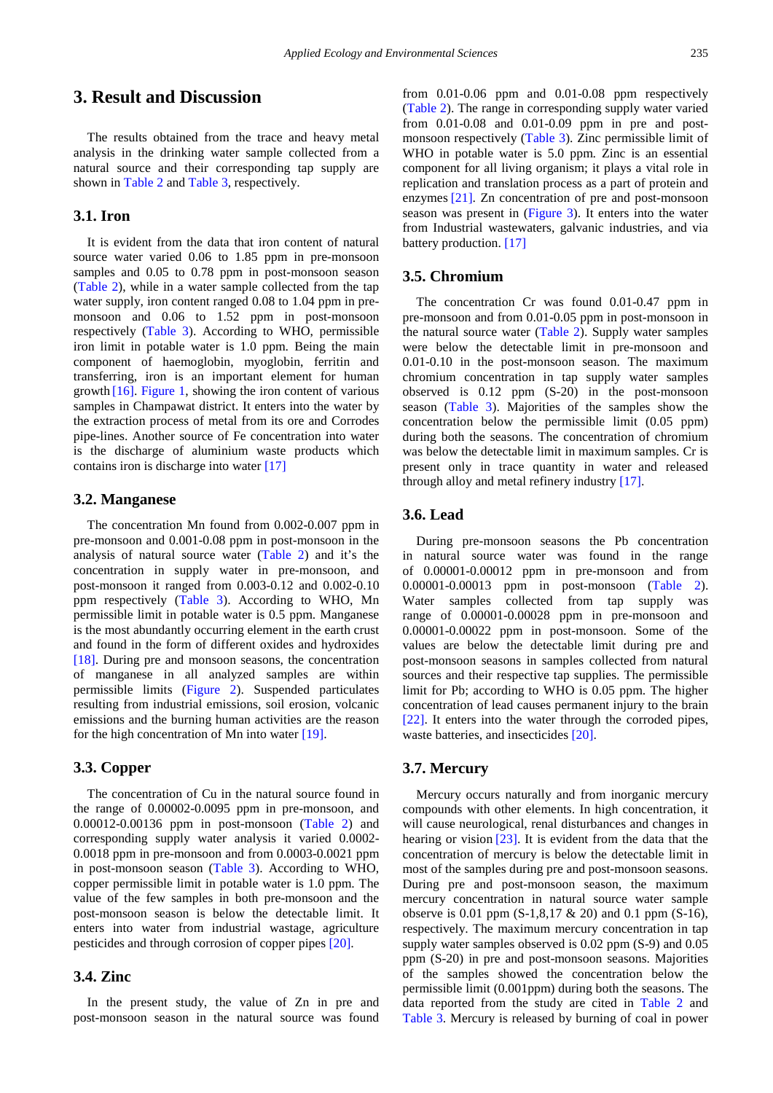# **3. Result and Discussion**

The results obtained from the trace and heavy metal analysis in the drinking water sample collected from a natural source and their corresponding tap supply are shown in [Table 2](#page-3-0) and [Table 3,](#page-3-1) respectively.

### **3.1. Iron**

It is evident from the data that iron content of natural source water varied 0.06 to 1.85 ppm in pre-monsoon samples and 0.05 to 0.78 ppm in post-monsoon season [\(Table 2\)](#page-3-0), while in a water sample collected from the tap water supply, iron content ranged 0.08 to 1.04 ppm in premonsoon and 0.06 to 1.52 ppm in post-monsoon respectively [\(Table 3\)](#page-3-1). According to WHO, permissible iron limit in potable water is 1.0 ppm. Being the main component of haemoglobin, myoglobin, ferritin and transferring, iron is an important element for human growth [\[16\].](#page-5-7) [Figure 1,](#page-4-0) showing the iron content of various samples in Champawat district. It enters into the water by the extraction process of metal from its ore and Corrodes pipe-lines. Another source of Fe concentration into water is the discharge of aluminium waste products which contains iron is discharge into water [\[17\]](#page-5-8)

#### **3.2. Manganese**

The concentration Mn found from 0.002-0.007 ppm in pre-monsoon and 0.001-0.08 ppm in post-monsoon in the analysis of natural source water [\(Table 2\)](#page-3-0) and it's the concentration in supply water in pre-monsoon, and post-monsoon it ranged from 0.003-0.12 and 0.002-0.10 ppm respectively [\(Table 3\)](#page-3-1). According to WHO, Mn permissible limit in potable water is 0.5 ppm. Manganese is the most abundantly occurring element in the earth crust and found in the form of different oxides and hydroxides [\[18\].](#page-5-9) During pre and monsoon seasons, the concentration of manganese in all analyzed samples are within permissible limits [\(Figure 2\)](#page-4-1). Suspended particulates resulting from industrial emissions, soil erosion, volcanic emissions and the burning human activities are the reason for the high concentration of Mn into water [\[19\].](#page-5-10)

#### **3.3. Copper**

The concentration of Cu in the natural source found in the range of 0.00002-0.0095 ppm in pre-monsoon, and 0.00012-0.00136 ppm in post-monsoon [\(Table 2\)](#page-3-0) and corresponding supply water analysis it varied 0.0002- 0.0018 ppm in pre-monsoon and from 0.0003-0.0021 ppm in post-monsoon season [\(Table 3\)](#page-3-1). According to WHO, copper permissible limit in potable water is 1.0 ppm. The value of the few samples in both pre-monsoon and the post-monsoon season is below the detectable limit. It enters into water from industrial wastage, agriculture pesticides and through corrosion of copper pipe[s \[20\].](#page-5-11)

## **3.4. Zinc**

In the present study, the value of Zn in pre and post-monsoon season in the natural source was found from 0.01-0.06 ppm and 0.01-0.08 ppm respectively [\(Table 2\)](#page-3-0). The range in corresponding supply water varied from 0.01-0.08 and 0.01-0.09 ppm in pre and postmonsoon respectively [\(Table 3\)](#page-3-1). Zinc permissible limit of WHO in potable water is 5.0 ppm. Zinc is an essential component for all living organism; it plays a vital role in replication and translation process as a part of protein and enzymes [\[21\].](#page-5-12) Zn concentration of pre and post-monsoon season was present in [\(Figure 3\)](#page-4-2). It enters into the water from Industrial wastewaters, galvanic industries, and via battery production. [\[17\]](#page-5-8)

#### **3.5. Chromium**

The concentration Cr was found 0.01-0.47 ppm in pre-monsoon and from 0.01-0.05 ppm in post-monsoon in the natural source water [\(Table 2\)](#page-3-0). Supply water samples were below the detectable limit in pre-monsoon and 0.01-0.10 in the post-monsoon season. The maximum chromium concentration in tap supply water samples observed is 0.12 ppm (S-20) in the post-monsoon season [\(Table 3\)](#page-3-1). Majorities of the samples show the concentration below the permissible limit (0.05 ppm) during both the seasons. The concentration of chromium was below the detectable limit in maximum samples. Cr is present only in trace quantity in water and released through alloy and metal refinery industry [\[17\].](#page-5-8)

#### **3.6. Lead**

During pre-monsoon seasons the Pb concentration in natural source water was found in the range of 0.00001-0.00012 ppm in pre-monsoon and from 0.00001-0.00013 ppm in post-monsoon [\(Table 2\)](#page-3-0). Water samples collected from tap supply was range of 0.00001-0.00028 ppm in pre-monsoon and 0.00001-0.00022 ppm in post-monsoon. Some of the values are below the detectable limit during pre and post-monsoon seasons in samples collected from natural sources and their respective tap supplies. The permissible limit for Pb; according to WHO is 0.05 ppm. The higher concentration of lead causes permanent injury to the brain [\[22\].](#page-5-13) It enters into the water through the corroded pipes, waste batteries, and insecticides [\[20\].](#page-5-11)

#### **3.7. Mercury**

Mercury occurs naturally and from inorganic mercury compounds with other elements. In high concentration, it will cause neurological, renal disturbances and changes in hearing or vision [\[23\].](#page-5-14) It is evident from the data that the concentration of mercury is below the detectable limit in most of the samples during pre and post-monsoon seasons. During pre and post-monsoon season, the maximum mercury concentration in natural source water sample observe is 0.01 ppm (S-1,8,17 & 20) and 0.1 ppm (S-16), respectively. The maximum mercury concentration in tap supply water samples observed is 0.02 ppm (S-9) and 0.05 ppm (S-20) in pre and post-monsoon seasons. Majorities of the samples showed the concentration below the permissible limit (0.001ppm) during both the seasons. The data reported from the study are cited in [Table 2](#page-3-0) and [Table 3.](#page-3-1) Mercury is released by burning of coal in power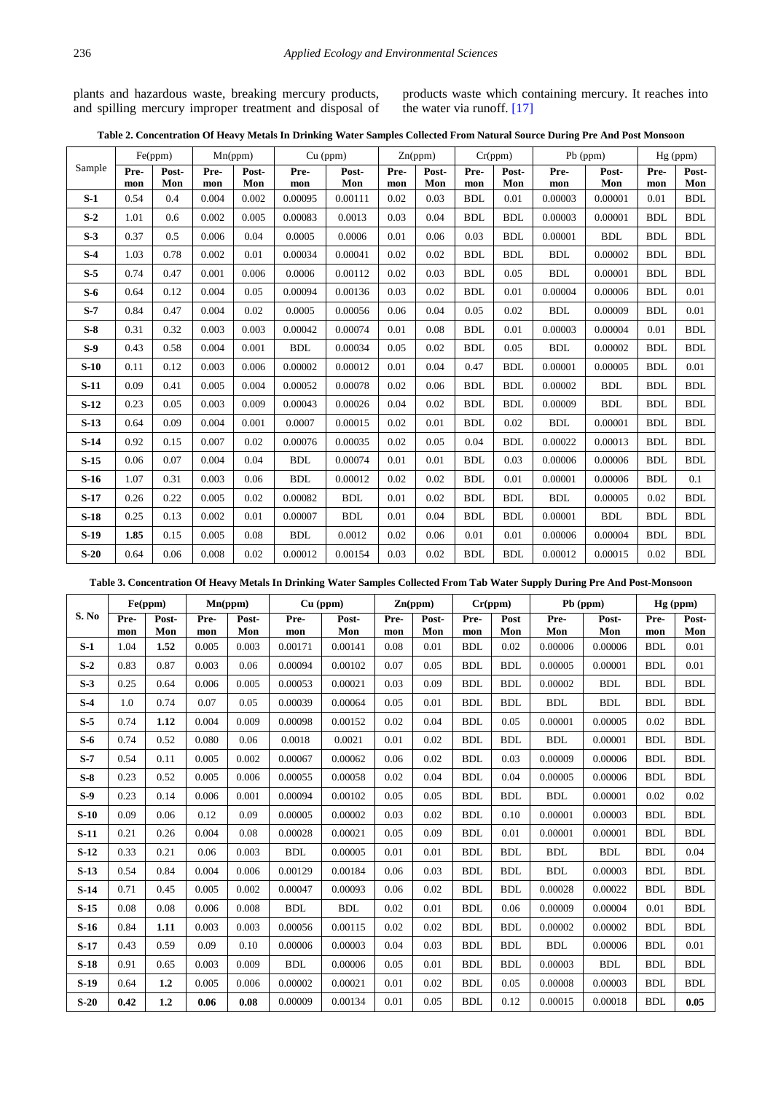plants and hazardous waste, breaking mercury products, and spilling mercury improper treatment and disposal of products waste which containing mercury. It reaches into the water via runoff. [\[17\]](#page-5-8)

|  | Table 2. Concentration Of Heavy Metals In Drinking Water Samples Collected From Natural Source During Pre And Post Monsoon |  |
|--|----------------------------------------------------------------------------------------------------------------------------|--|
|  |                                                                                                                            |  |

<span id="page-3-0"></span>

|        | Fe(ppm)     |              | Mn(ppm)     |              | $Cu$ (ppm)  |              | Zn(ppm)     |              | Cr(ppm)     |              | Pb (ppm)    |              | $Hg$ (ppm)  |              |
|--------|-------------|--------------|-------------|--------------|-------------|--------------|-------------|--------------|-------------|--------------|-------------|--------------|-------------|--------------|
| Sample | Pre-<br>mon | Post-<br>Mon | Pre-<br>mon | Post-<br>Mon | Pre-<br>mon | Post-<br>Mon | Pre-<br>mon | Post-<br>Mon | Pre-<br>mon | Post-<br>Mon | Pre-<br>mon | Post-<br>Mon | Pre-<br>mon | Post-<br>Mon |
| $S-1$  | 0.54        | 0.4          | 0.004       | 0.002        | 0.00095     | 0.00111      | 0.02        | 0.03         | <b>BDL</b>  | 0.01         | 0.00003     | 0.00001      | 0.01        | <b>BDL</b>   |
| $S-2$  | 1.01        | 0.6          | 0.002       | 0.005        | 0.00083     | 0.0013       | 0.03        | 0.04         | <b>BDL</b>  | <b>BDL</b>   | 0.00003     | 0.00001      | <b>BDL</b>  | <b>BDL</b>   |
| $S-3$  | 0.37        | 0.5          | 0.006       | 0.04         | 0.0005      | 0.0006       | 0.01        | 0.06         | 0.03        | <b>BDL</b>   | 0.00001     | <b>BDL</b>   | <b>BDL</b>  | <b>BDL</b>   |
| $S-4$  | 1.03        | 0.78         | 0.002       | 0.01         | 0.00034     | 0.00041      | 0.02        | 0.02         | <b>BDL</b>  | <b>BDL</b>   | <b>BDL</b>  | 0.00002      | <b>BDL</b>  | <b>BDL</b>   |
| $S-5$  | 0.74        | 0.47         | 0.001       | 0.006        | 0.0006      | 0.00112      | 0.02        | 0.03         | <b>BDL</b>  | 0.05         | <b>BDL</b>  | 0.00001      | <b>BDL</b>  | <b>BDL</b>   |
| $S-6$  | 0.64        | 0.12         | 0.004       | 0.05         | 0.00094     | 0.00136      | 0.03        | 0.02         | <b>BDL</b>  | 0.01         | 0.00004     | 0.00006      | <b>BDL</b>  | 0.01         |
| $S-7$  | 0.84        | 0.47         | 0.004       | 0.02         | 0.0005      | 0.00056      | 0.06        | 0.04         | 0.05        | 0.02         | <b>BDL</b>  | 0.00009      | <b>BDL</b>  | 0.01         |
| $S-8$  | 0.31        | 0.32         | 0.003       | 0.003        | 0.00042     | 0.00074      | 0.01        | 0.08         | <b>BDL</b>  | 0.01         | 0.00003     | 0.00004      | 0.01        | <b>BDL</b>   |
| $S-9$  | 0.43        | 0.58         | 0.004       | 0.001        | <b>BDL</b>  | 0.00034      | 0.05        | 0.02         | <b>BDL</b>  | 0.05         | <b>BDL</b>  | 0.00002      | <b>BDL</b>  | <b>BDL</b>   |
| $S-10$ | 0.11        | 0.12         | 0.003       | 0.006        | 0.00002     | 0.00012      | 0.01        | 0.04         | 0.47        | <b>BDL</b>   | 0.00001     | 0.00005      | <b>BDL</b>  | 0.01         |
| $S-11$ | 0.09        | 0.41         | 0.005       | 0.004        | 0.00052     | 0.00078      | 0.02        | 0.06         | <b>BDL</b>  | <b>BDL</b>   | 0.00002     | <b>BDL</b>   | <b>BDL</b>  | <b>BDL</b>   |
| $S-12$ | 0.23        | 0.05         | 0.003       | 0.009        | 0.00043     | 0.00026      | 0.04        | 0.02         | <b>BDL</b>  | <b>BDL</b>   | 0.00009     | <b>BDL</b>   | <b>BDL</b>  | <b>BDL</b>   |
| $S-13$ | 0.64        | 0.09         | 0.004       | 0.001        | 0.0007      | 0.00015      | 0.02        | 0.01         | <b>BDL</b>  | 0.02         | <b>BDL</b>  | 0.00001      | <b>BDL</b>  | <b>BDL</b>   |
| $S-14$ | 0.92        | 0.15         | 0.007       | 0.02         | 0.00076     | 0.00035      | 0.02        | 0.05         | 0.04        | <b>BDL</b>   | 0.00022     | 0.00013      | <b>BDL</b>  | <b>BDL</b>   |
| $S-15$ | 0.06        | 0.07         | 0.004       | 0.04         | <b>BDL</b>  | 0.00074      | 0.01        | 0.01         | <b>BDL</b>  | 0.03         | 0.00006     | 0.00006      | <b>BDL</b>  | <b>BDL</b>   |
| $S-16$ | 1.07        | 0.31         | 0.003       | 0.06         | <b>BDL</b>  | 0.00012      | 0.02        | 0.02         | <b>BDL</b>  | 0.01         | 0.00001     | 0.00006      | BDL         | 0.1          |
| $S-17$ | 0.26        | 0.22         | 0.005       | 0.02         | 0.00082     | <b>BDL</b>   | 0.01        | 0.02         | <b>BDL</b>  | <b>BDL</b>   | <b>BDL</b>  | 0.00005      | 0.02        | <b>BDL</b>   |
| $S-18$ | 0.25        | 0.13         | 0.002       | 0.01         | 0.00007     | <b>BDL</b>   | 0.01        | 0.04         | <b>BDL</b>  | <b>BDL</b>   | 0.00001     | <b>BDL</b>   | <b>BDL</b>  | <b>BDL</b>   |
| $S-19$ | 1.85        | 0.15         | 0.005       | 0.08         | <b>BDL</b>  | 0.0012       | 0.02        | 0.06         | 0.01        | 0.01         | 0.00006     | 0.00004      | <b>BDL</b>  | <b>BDL</b>   |
| $S-20$ | 0.64        | 0.06         | 0.008       | 0.02         | 0.00012     | 0.00154      | 0.03        | 0.02         | <b>BDL</b>  | <b>BDL</b>   | 0.00012     | 0.00015      | 0.02        | <b>BDL</b>   |

**Table 3. Concentration Of Heavy Metals In Drinking Water Samples Collected From Tab Water Supply During Pre And Post-Monsoon**

<span id="page-3-1"></span>

| S. No  | Fe(ppm)     |              | Mn(ppm)      |              | $Cu$ (ppm)     |              | Zn(ppm)     |              | Cr(ppm)    |             | Pb (ppm)    |              | $Hg$ (ppm) |              |
|--------|-------------|--------------|--------------|--------------|----------------|--------------|-------------|--------------|------------|-------------|-------------|--------------|------------|--------------|
|        | Pre-        | Post-<br>Mon | Pre-         | Post-<br>Mon | Pre-           | Post-<br>Mon | Pre-        | Post-<br>Mon | Pre-       | Post<br>Mon | Pre-<br>Mon | Post-<br>Mon | Pre-       | Post-<br>Mon |
| $S-1$  | mon<br>1.04 | 1.52         | mon<br>0.005 | 0.003        | mon<br>0.00171 | 0.00141      | mon<br>0.08 | 0.01         | mon<br>BDL | 0.02        | 0.00006     | 0.00006      | mon<br>BDL | 0.01         |
|        |             |              |              |              |                |              |             |              |            |             |             |              |            |              |
| $S-2$  | 0.83        | 0.87         | 0.003        | 0.06         | 0.00094        | 0.00102      | 0.07        | 0.05         | <b>BDL</b> | <b>BDL</b>  | 0.00005     | 0.00001      | <b>BDL</b> | 0.01         |
| $S-3$  | 0.25        | 0.64         | 0.006        | 0.005        | 0.00053        | 0.00021      | 0.03        | 0.09         | <b>BDL</b> | <b>BDL</b>  | 0.00002     | <b>BDL</b>   | <b>BDL</b> | <b>BDL</b>   |
| $S-4$  | 1.0         | 0.74         | 0.07         | 0.05         | 0.00039        | 0.00064      | 0.05        | 0.01         | <b>BDL</b> | <b>BDL</b>  | <b>BDL</b>  | <b>BDL</b>   | <b>BDL</b> | <b>BDL</b>   |
| $S-5$  | 0.74        | 1.12         | 0.004        | 0.009        | 0.00098        | 0.00152      | 0.02        | 0.04         | <b>BDL</b> | 0.05        | 0.00001     | 0.00005      | 0.02       | <b>BDL</b>   |
| $S-6$  | 0.74        | 0.52         | 0.080        | 0.06         | 0.0018         | 0.0021       | 0.01        | 0.02         | <b>BDL</b> | <b>BDL</b>  | <b>BDL</b>  | 0.00001      | <b>BDL</b> | <b>BDL</b>   |
| $S-7$  | 0.54        | 0.11         | 0.005        | 0.002        | 0.00067        | 0.00062      | 0.06        | 0.02         | <b>BDL</b> | 0.03        | 0.00009     | 0.00006      | <b>BDL</b> | <b>BDL</b>   |
| $S-8$  | 0.23        | 0.52         | 0.005        | 0.006        | 0.00055        | 0.00058      | 0.02        | 0.04         | <b>BDL</b> | 0.04        | 0.00005     | 0.00006      | <b>BDL</b> | <b>BDL</b>   |
| $S-9$  | 0.23        | 0.14         | 0.006        | 0.001        | 0.00094        | 0.00102      | 0.05        | 0.05         | <b>BDL</b> | <b>BDL</b>  | <b>BDL</b>  | 0.00001      | 0.02       | 0.02         |
| $S-10$ | 0.09        | 0.06         | 0.12         | 0.09         | 0.00005        | 0.00002      | 0.03        | 0.02         | <b>BDL</b> | 0.10        | 0.00001     | 0.00003      | <b>BDL</b> | <b>BDL</b>   |
| $S-11$ | 0.21        | 0.26         | 0.004        | 0.08         | 0.00028        | 0.00021      | 0.05        | 0.09         | <b>BDL</b> | 0.01        | 0.00001     | 0.00001      | <b>BDL</b> | <b>BDL</b>   |
| $S-12$ | 0.33        | 0.21         | 0.06         | 0.003        | <b>BDL</b>     | 0.00005      | 0.01        | 0.01         | <b>BDL</b> | BDL         | <b>BDL</b>  | <b>BDL</b>   | <b>BDL</b> | 0.04         |
| $S-13$ | 0.54        | 0.84         | 0.004        | 0.006        | 0.00129        | 0.00184      | 0.06        | 0.03         | <b>BDL</b> | <b>BDL</b>  | <b>BDL</b>  | 0.00003      | <b>BDL</b> | <b>BDL</b>   |
| $S-14$ | 0.71        | 0.45         | 0.005        | 0.002        | 0.00047        | 0.00093      | 0.06        | 0.02         | <b>BDL</b> | <b>BDL</b>  | 0.00028     | 0.00022      | <b>BDL</b> | <b>BDL</b>   |
| $S-15$ | 0.08        | 0.08         | 0.006        | 0.008        | <b>BDL</b>     | <b>BDL</b>   | 0.02        | 0.01         | <b>BDL</b> | 0.06        | 0.00009     | 0.00004      | 0.01       | <b>BDL</b>   |
| $S-16$ | 0.84        | 1.11         | 0.003        | 0.003        | 0.00056        | 0.00115      | 0.02        | 0.02         | <b>BDL</b> | <b>BDL</b>  | 0.00002     | 0.00002      | <b>BDL</b> | <b>BDL</b>   |
| $S-17$ | 0.43        | 0.59         | 0.09         | 0.10         | 0.00006        | 0.00003      | 0.04        | 0.03         | <b>BDL</b> | <b>BDL</b>  | <b>BDL</b>  | 0.00006      | <b>BDL</b> | 0.01         |
| $S-18$ | 0.91        | 0.65         | 0.003        | 0.009        | <b>BDL</b>     | 0.00006      | 0.05        | 0.01         | <b>BDL</b> | <b>BDL</b>  | 0.00003     | <b>BDL</b>   | <b>BDL</b> | <b>BDL</b>   |
| $S-19$ | 0.64        | 1.2          | 0.005        | 0.006        | 0.00002        | 0.00021      | 0.01        | 0.02         | <b>BDL</b> | 0.05        | 0.00008     | 0.00003      | <b>BDL</b> | <b>BDL</b>   |
| $S-20$ | 0.42        | 1.2          | 0.06         | 0.08         | 0.00009        | 0.00134      | 0.01        | 0.05         | <b>BDL</b> | 0.12        | 0.00015     | 0.00018      | <b>BDL</b> | 0.05         |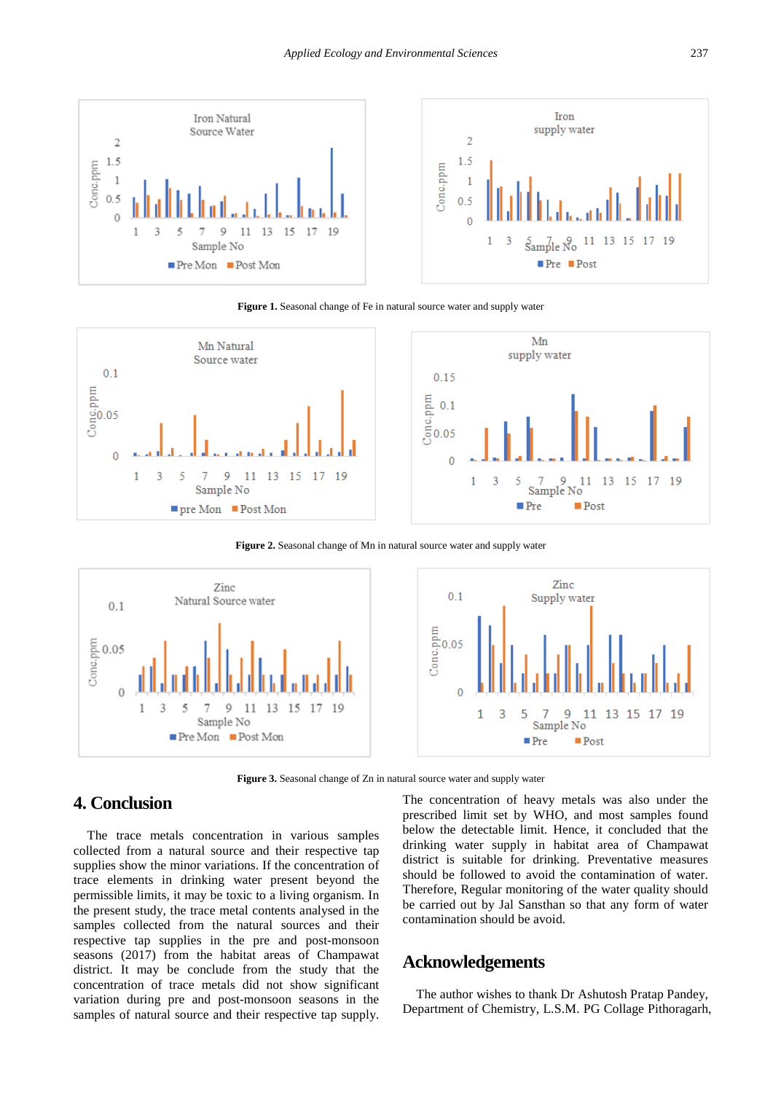<span id="page-4-0"></span>



**Figure 1.** Seasonal change of Fe in natural source water and supply water

<span id="page-4-1"></span>

Figure 2. Seasonal change of Mn in natural source water and supply water

<span id="page-4-2"></span>

**Figure 3.** Seasonal change of Zn in natural source water and supply water

# **4. Conclusion**

The trace metals concentration in various samples collected from a natural source and their respective tap supplies show the minor variations. If the concentration of trace elements in drinking water present beyond the permissible limits, it may be toxic to a living organism. In the present study, the trace metal contents analysed in the samples collected from the natural sources and their respective tap supplies in the pre and post-monsoon seasons (2017) from the habitat areas of Champawat district. It may be conclude from the study that the concentration of trace metals did not show significant variation during pre and post-monsoon seasons in the samples of natural source and their respective tap supply. The concentration of heavy metals was also under the prescribed limit set by WHO, and most samples found below the detectable limit. Hence, it concluded that the drinking water supply in habitat area of Champawat district is suitable for drinking. Preventative measures should be followed to avoid the contamination of water. Therefore, Regular monitoring of the water quality should be carried out by Jal Sansthan so that any form of water contamination should be avoid.

## **Acknowledgements**

The author wishes to thank Dr Ashutosh Pratap Pandey, Department of Chemistry, L.S.M. PG Collage Pithoragarh,